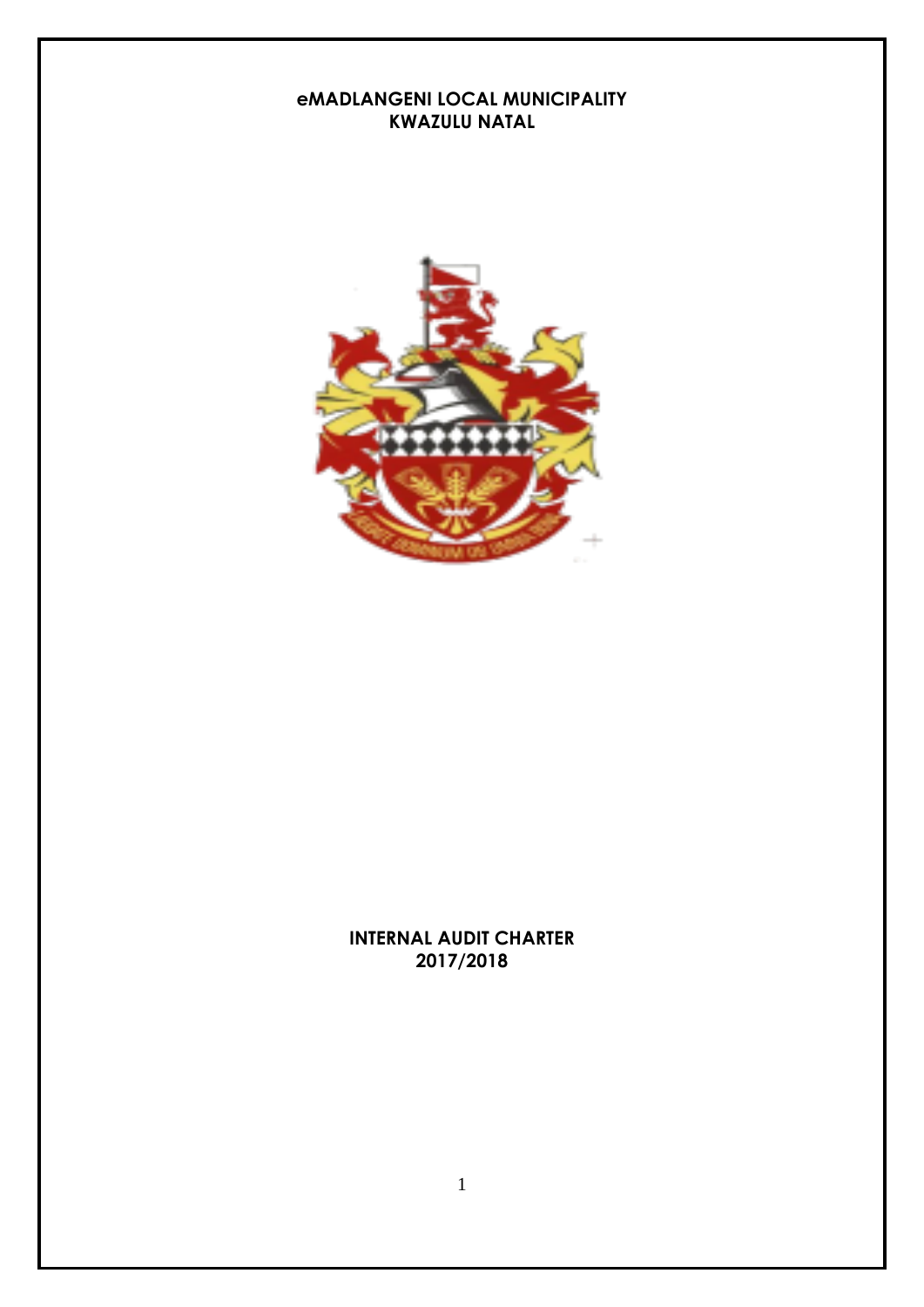#### **eMADLANGENI LOCAL MUNICIPALITY KWAZULU NATAL**



#### **INTERNAL AUDIT CHARTER 2017/2018**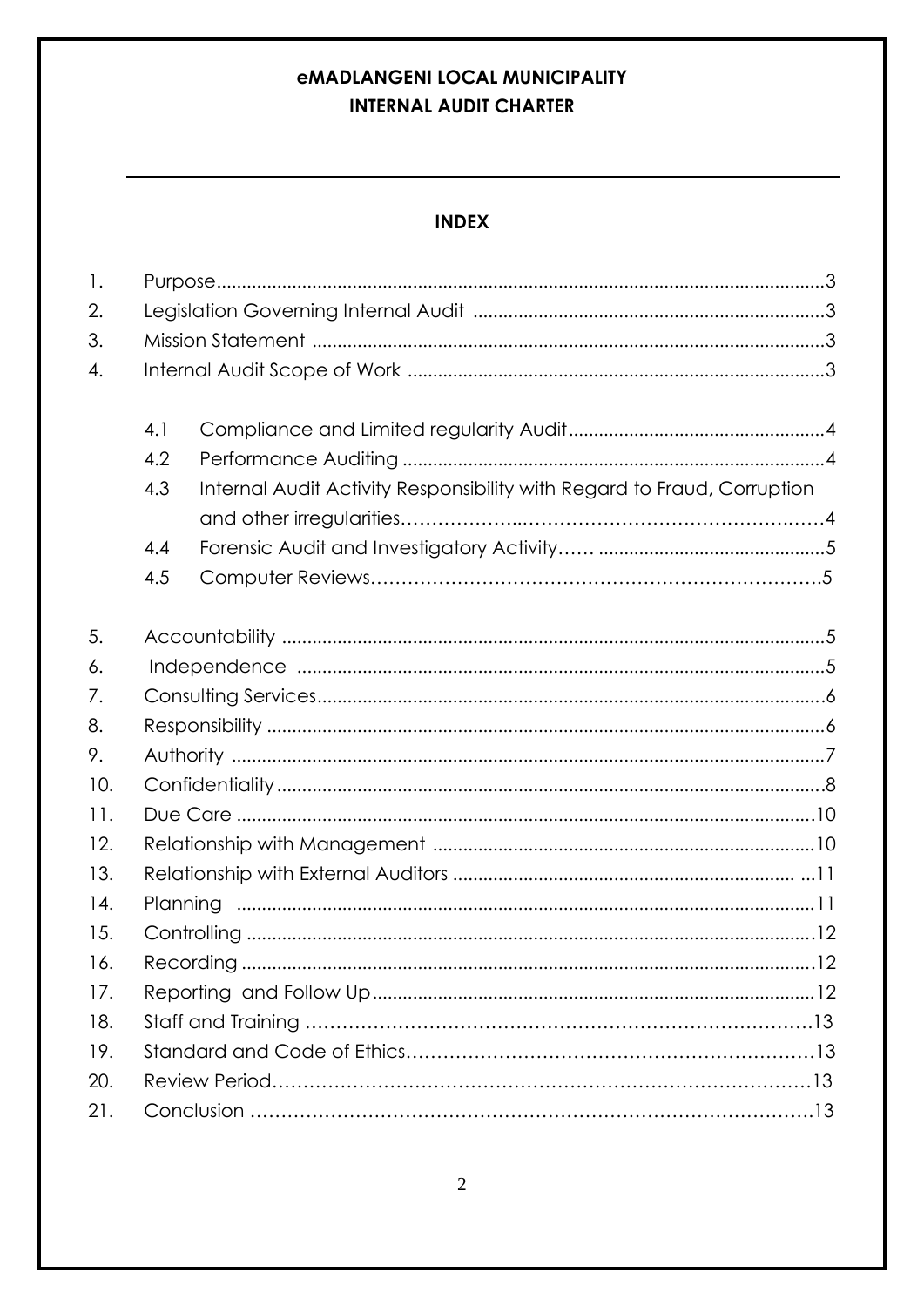## *eMADLANGENI LOCAL MUNICIPALITY* **INTERNAL AUDIT CHARTER**

### **INDEX**

| $\mathbf{1}$ . |     |                                                                         |  |
|----------------|-----|-------------------------------------------------------------------------|--|
| 2.             |     |                                                                         |  |
| 3.             |     |                                                                         |  |
| 4.             |     |                                                                         |  |
|                |     |                                                                         |  |
|                | 4.1 |                                                                         |  |
|                | 4.2 |                                                                         |  |
|                | 4.3 | Internal Audit Activity Responsibility with Regard to Fraud, Corruption |  |
|                |     |                                                                         |  |
|                | 4.4 |                                                                         |  |
|                | 4.5 |                                                                         |  |
|                |     |                                                                         |  |
| 5.             |     |                                                                         |  |
| 6.             |     |                                                                         |  |
| 7.             |     |                                                                         |  |
| 8.             |     |                                                                         |  |
| 9.             |     |                                                                         |  |
| 10.            |     |                                                                         |  |
| 11.            |     |                                                                         |  |
| 12.            |     |                                                                         |  |
| 13.            |     |                                                                         |  |
| 14.            |     |                                                                         |  |
| 15.            |     |                                                                         |  |
| 16.            |     |                                                                         |  |
| 17.            |     |                                                                         |  |
| 18.            |     |                                                                         |  |
| 19.            |     |                                                                         |  |
| 20.            |     |                                                                         |  |
| 21.            |     |                                                                         |  |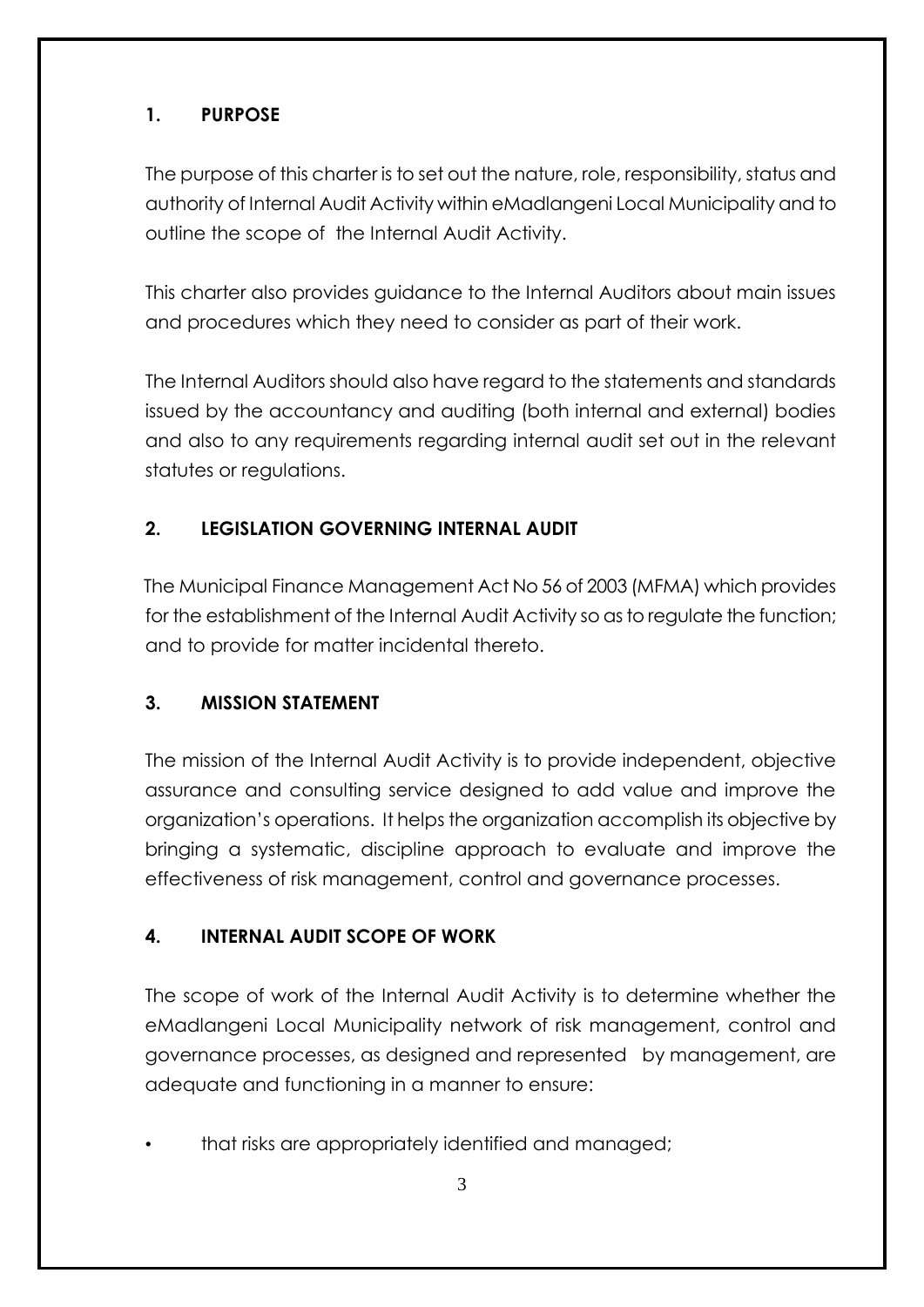## **1. PURPOSE**

The purpose of this charter is to set out the nature, role, responsibility, status and authority of Internal Audit Activity within eMadlangeni Local Municipality and to outline the scope of the Internal Audit Activity.

This charter also provides guidance to the Internal Auditors about main issues and procedures which they need to consider as part of their work.

The Internal Auditors should also have regard to the statements and standards issued by the accountancy and auditing (both internal and external) bodies and also to any requirements regarding internal audit set out in the relevant statutes or regulations.

## **2. LEGISLATION GOVERNING INTERNAL AUDIT**

The Municipal Finance Management Act No 56 of 2003 (MFMA) which provides for the establishment of the Internal Audit Activity so as to regulate the function; and to provide for matter incidental thereto.

### **3. MISSION STATEMENT**

The mission of the Internal Audit Activity is to provide independent, objective assurance and consulting service designed to add value and improve the organization's operations. It helps the organization accomplish its objective by bringing a systematic, discipline approach to evaluate and improve the effectiveness of risk management, control and governance processes.

### **4. INTERNAL AUDIT SCOPE OF WORK**

The scope of work of the Internal Audit Activity is to determine whether the eMadlangeni Local Municipality network of risk management, control and governance processes, as designed and represented by management, are adequate and functioning in a manner to ensure:

• that risks are appropriately identified and managed;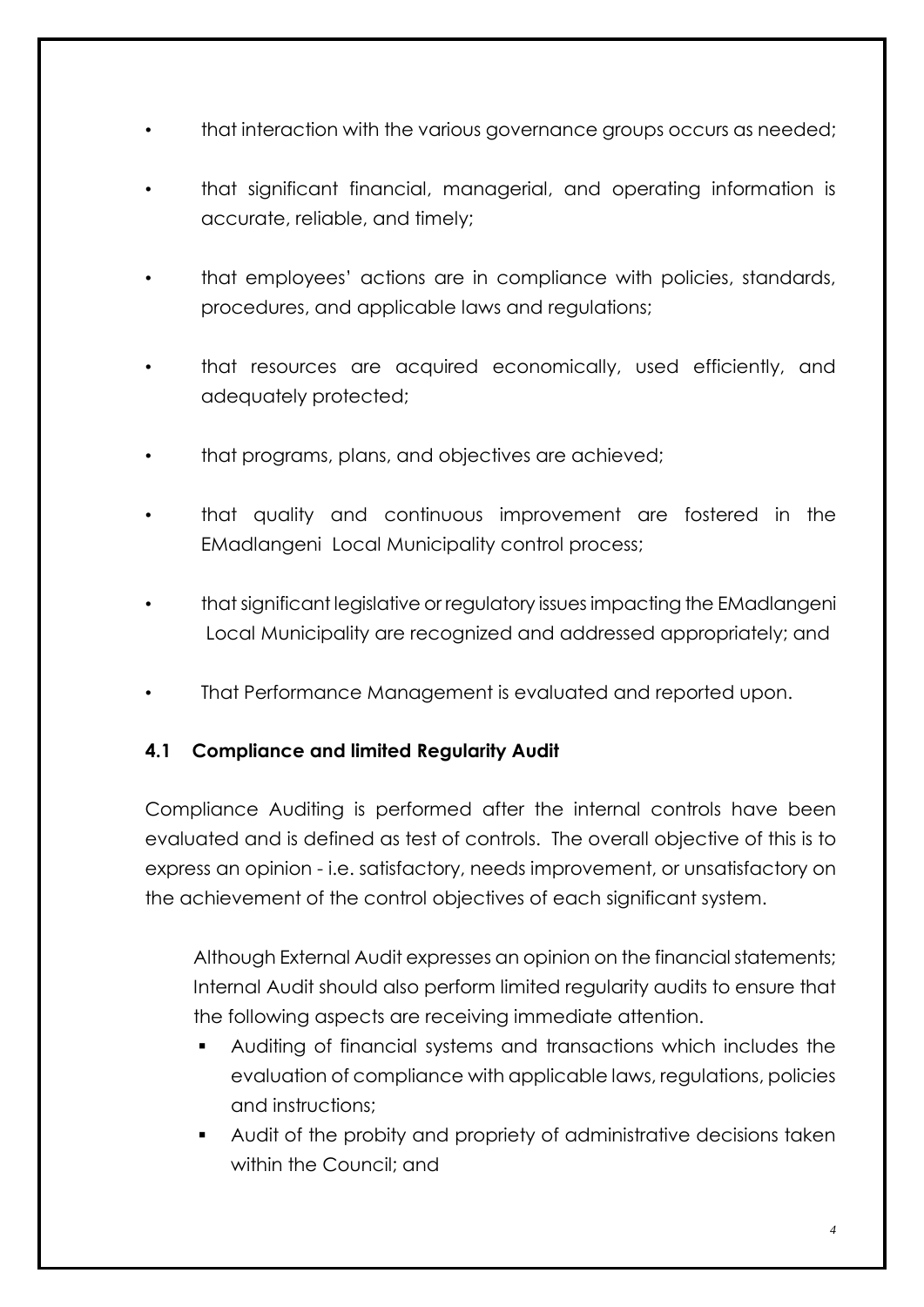- that interaction with the various governance groups occurs as needed;
- that significant financial, managerial, and operating information is accurate, reliable, and timely;
- that employees' actions are in compliance with policies, standards, procedures, and applicable laws and regulations;
- that resources are acquired economically, used efficiently, and adequately protected;
- that programs, plans, and objectives are achieved;
- that quality and continuous improvement are fostered in the EMadlangeni Local Municipality control process;
- that significant legislative or regulatory issues impacting the EMadlangeni Local Municipality are recognized and addressed appropriately; and
- That Performance Management is evaluated and reported upon.

#### **4.1 Compliance and limited Regularity Audit**

Compliance Auditing is performed after the internal controls have been evaluated and is defined as test of controls. The overall objective of this is to express an opinion - i.e. satisfactory, needs improvement, or unsatisfactory on the achievement of the control objectives of each significant system.

Although External Audit expresses an opinion on the financial statements; Internal Audit should also perform limited regularity audits to ensure that the following aspects are receiving immediate attention.

- Auditing of financial systems and transactions which includes the evaluation of compliance with applicable laws, regulations, policies and instructions;
- Audit of the probity and propriety of administrative decisions taken within the Council; and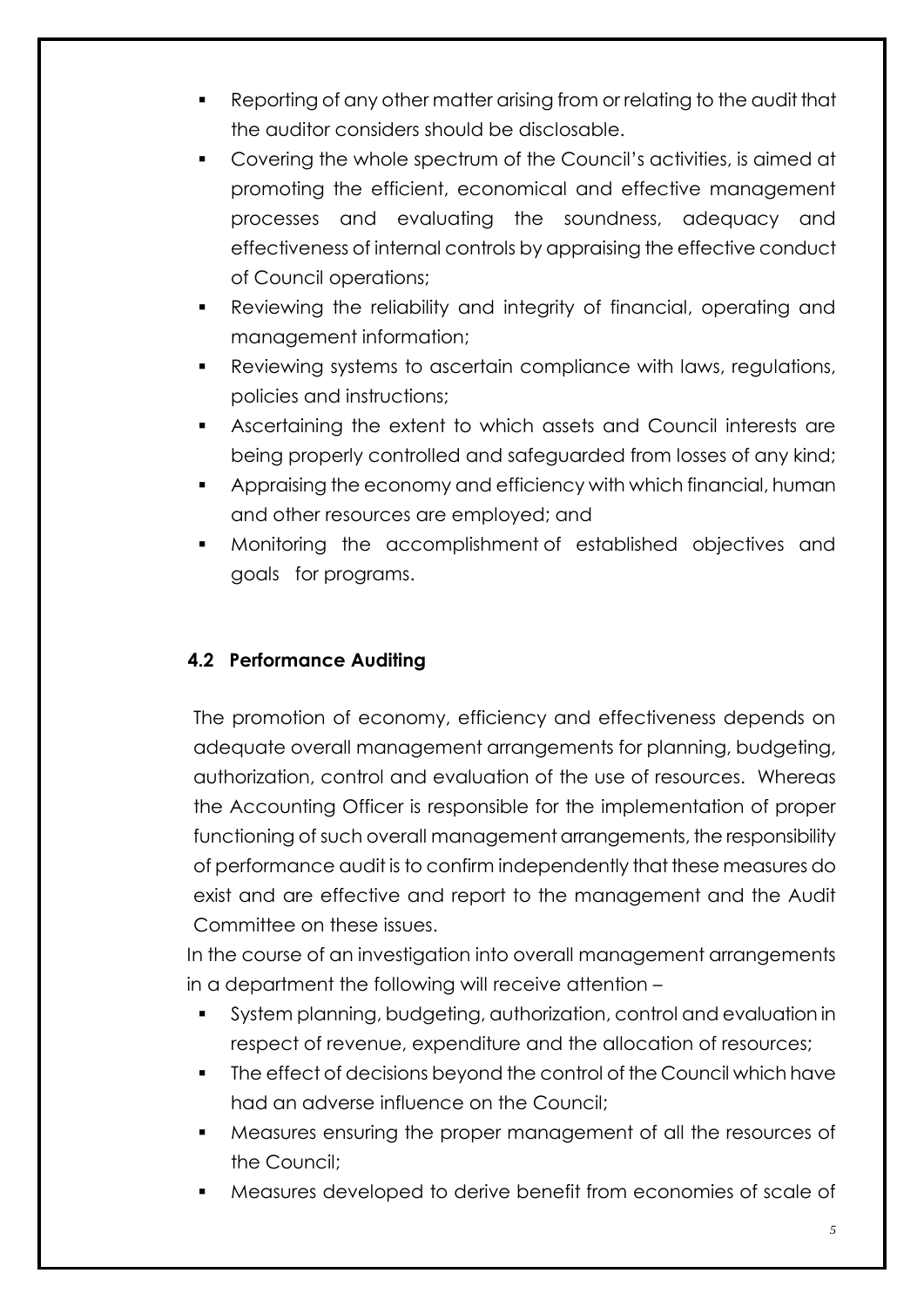- Reporting of any other matter arising from or relating to the audit that the auditor considers should be disclosable.
- Covering the whole spectrum of the Council's activities, is aimed at promoting the efficient, economical and effective management processes and evaluating the soundness, adequacy and effectiveness of internal controls by appraising the effective conduct of Council operations;
- Reviewing the reliability and integrity of financial, operating and management information;
- Reviewing systems to ascertain compliance with laws, regulations, policies and instructions;
- Ascertaining the extent to which assets and Council interests are being properly controlled and safeguarded from losses of any kind;
- Appraising the economy and efficiency with which financial, human and other resources are employed; and
- Monitoring the accomplishment of established objectives and goals for programs.

### **4.2 Performance Auditing**

The promotion of economy, efficiency and effectiveness depends on adequate overall management arrangements for planning, budgeting, authorization, control and evaluation of the use of resources. Whereas the Accounting Officer is responsible for the implementation of proper functioning of such overall management arrangements, the responsibility of performance audit is to confirm independently that these measures do exist and are effective and report to the management and the Audit Committee on these issues.

In the course of an investigation into overall management arrangements in a department the following will receive attention –

- System planning, budgeting, authorization, control and evaluation in respect of revenue, expenditure and the allocation of resources;
- The effect of decisions beyond the control of the Council which have had an adverse influence on the Council;
- Measures ensuring the proper management of all the resources of the Council;
- Measures developed to derive benefit from economies of scale of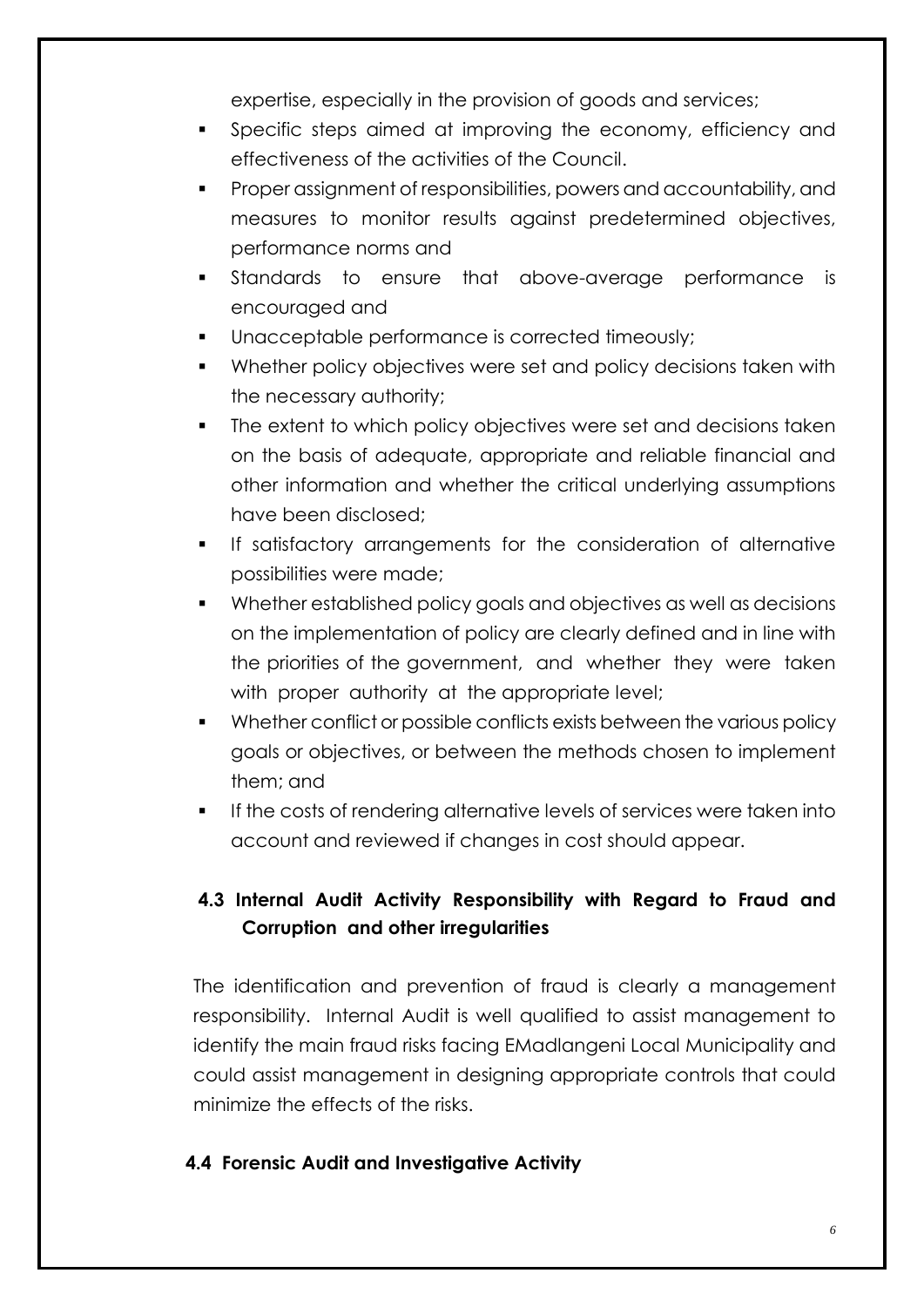expertise, especially in the provision of goods and services;

- Specific steps aimed at improving the economy, efficiency and effectiveness of the activities of the Council.
- **Proper assignment of responsibilities, powers and accountability, and** measures to monitor results against predetermined objectives, performance norms and
- Standards to ensure that above-average performance is encouraged and
- Unacceptable performance is corrected timeously;
- Whether policy objectives were set and policy decisions taken with the necessary authority;
- The extent to which policy objectives were set and decisions taken on the basis of adequate, appropriate and reliable financial and other information and whether the critical underlying assumptions have been disclosed;
- **If satisfactory arrangements for the consideration of alternative** possibilities were made;
- Whether established policy goals and objectives as well as decisions on the implementation of policy are clearly defined and in line with the priorities of the government, and whether they were taken with proper authority at the appropriate level;
- Whether conflict or possible conflicts exists between the various policy goals or objectives, or between the methods chosen to implement them; and
- **If the costs of rendering alternative levels of services were taken into** account and reviewed if changes in cost should appear.

# **4.3 Internal Audit Activity Responsibility with Regard to Fraud and Corruption and other irregularities**

The identification and prevention of fraud is clearly a management responsibility. Internal Audit is well qualified to assist management to identify the main fraud risks facing EMadlangeni Local Municipality and could assist management in designing appropriate controls that could minimize the effects of the risks.

### **4.4 Forensic Audit and Investigative Activity**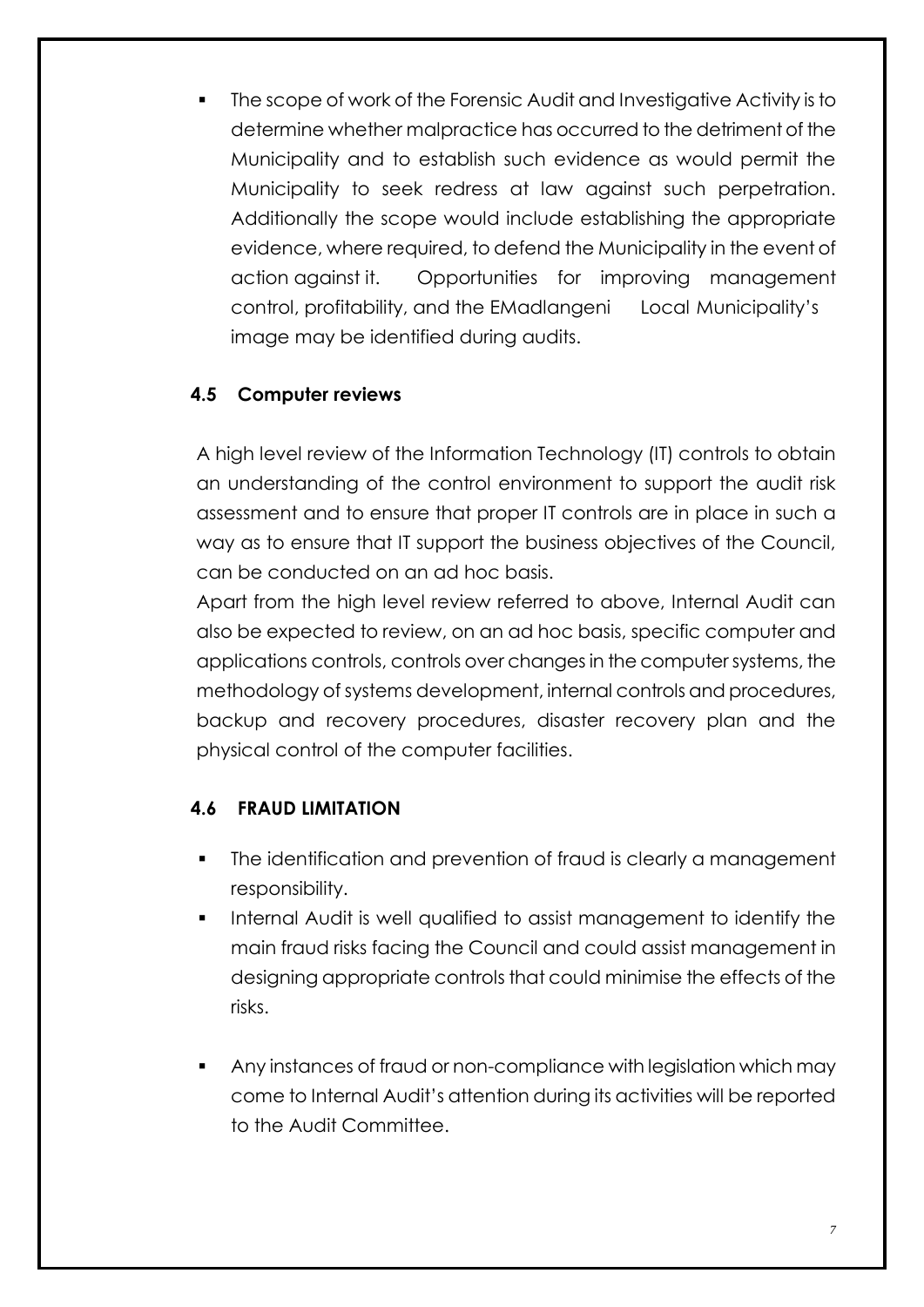The scope of work of the Forensic Audit and Investigative Activity is to determine whether malpractice has occurred to the detriment of the Municipality and to establish such evidence as would permit the Municipality to seek redress at law against such perpetration. Additionally the scope would include establishing the appropriate evidence, where required, to defend the Municipality in the event of action against it. Opportunities for improving management control, profitability, and the EMadlangeni Local Municipality's image may be identified during audits.

#### **4.5 Computer reviews**

A high level review of the Information Technology (IT) controls to obtain an understanding of the control environment to support the audit risk assessment and to ensure that proper IT controls are in place in such a way as to ensure that IT support the business objectives of the Council, can be conducted on an ad hoc basis.

Apart from the high level review referred to above, Internal Audit can also be expected to review, on an ad hoc basis, specific computer and applications controls, controls over changes in the computer systems, the methodology of systems development, internal controls and procedures, backup and recovery procedures, disaster recovery plan and the physical control of the computer facilities.

### **4.6 FRAUD LIMITATION**

- The identification and prevention of fraud is clearly a management responsibility.
- Internal Audit is well qualified to assist management to identify the main fraud risks facing the Council and could assist management in designing appropriate controls that could minimise the effects of the risks.
- Any instances of fraud or non-compliance with legislation which may come to Internal Audit's attention during its activities will be reported to the Audit Committee.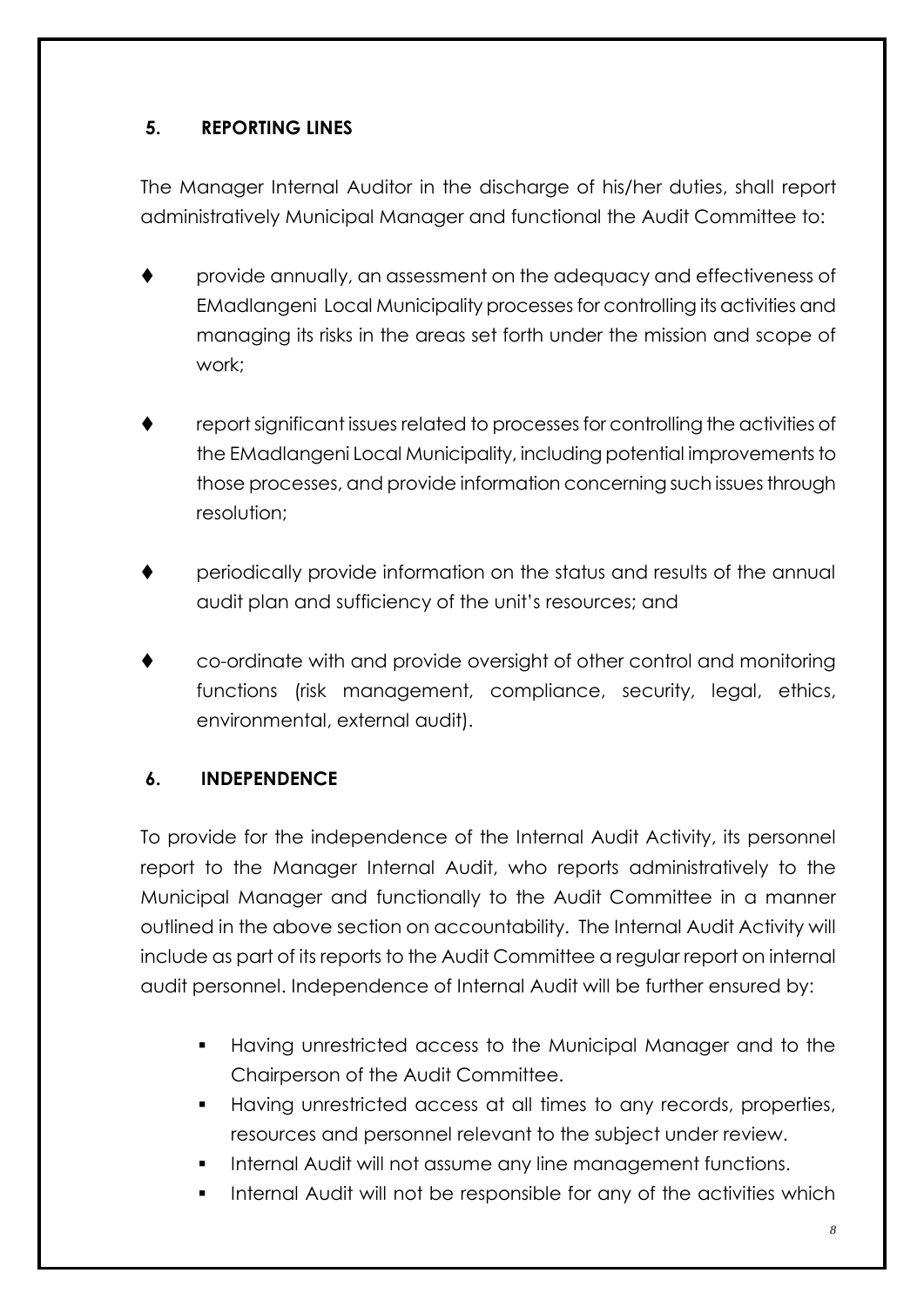### **5. REPORTING LINES**

The Manager Internal Auditor in the discharge of his/her duties, shall report administratively Municipal Manager and functional the Audit Committee to:

- provide annually, an assessment on the adequacy and effectiveness of EMadlangeni Local Municipality processes for controlling its activities and managing its risks in the areas set forth under the mission and scope of work;
- report significant issues related to processes for controlling the activities of the EMadlangeni Local Municipality, including potential improvements to those processes, and provide information concerning such issues through resolution;
- periodically provide information on the status and results of the annual audit plan and sufficiency of the unit's resources; and
- co-ordinate with and provide oversight of other control and monitoring functions (risk management, compliance, security, legal, ethics, environmental, external audit).

### **6. INDEPENDENCE**

To provide for the independence of the Internal Audit Activity, its personnel report to the Manager Internal Audit, who reports administratively to the Municipal Manager and functionally to the Audit Committee in a manner outlined in the above section on accountability. The Internal Audit Activity will include as part of its reports to the Audit Committee a regular report on internal audit personnel. Independence of Internal Audit will be further ensured by:

- Having unrestricted access to the Municipal Manager and to the Chairperson of the Audit Committee.
- Having unrestricted access at all times to any records, properties, resources and personnel relevant to the subject under review.
- Internal Audit will not assume any line management functions.
- Internal Audit will not be responsible for any of the activities which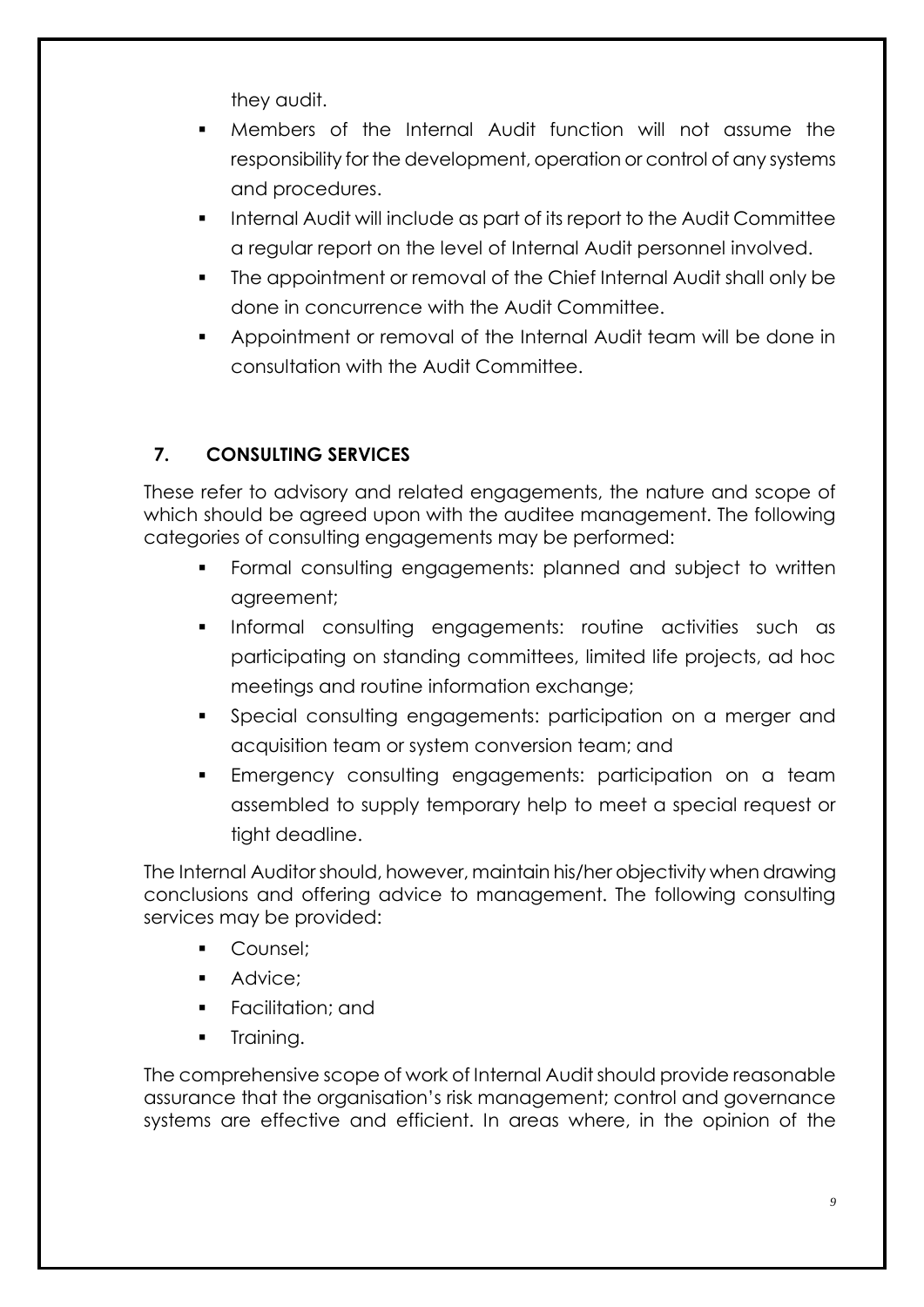they audit.

- Members of the Internal Audit function will not assume the responsibility for the development, operation or control of any systems and procedures.
- **Internal Audit will include as part of its report to the Audit Committee** a regular report on the level of Internal Audit personnel involved.
- The appointment or removal of the Chief Internal Audit shall only be done in concurrence with the Audit Committee.
- Appointment or removal of the Internal Audit team will be done in consultation with the Audit Committee.

# **7. CONSULTING SERVICES**

These refer to advisory and related engagements, the nature and scope of which should be agreed upon with the auditee management. The following categories of consulting engagements may be performed:

- **Formal consulting engagements: planned and subject to written** agreement;
- **Informal consulting engagements: routine activities such as** participating on standing committees, limited life projects, ad hoc meetings and routine information exchange;
- Special consulting engagements: participation on a merger and acquisition team or system conversion team; and
- Emergency consulting engagements: participation on a team assembled to supply temporary help to meet a special request or tight deadline.

The Internal Auditor should, however, maintain his/her objectivity when drawing conclusions and offering advice to management. The following consulting services may be provided:

- **Counsel**;
- Advice;
- **Facilitation**; and
- Training.

The comprehensive scope of work of Internal Audit should provide reasonable assurance that the organisation's risk management; control and governance systems are effective and efficient. In areas where, in the opinion of the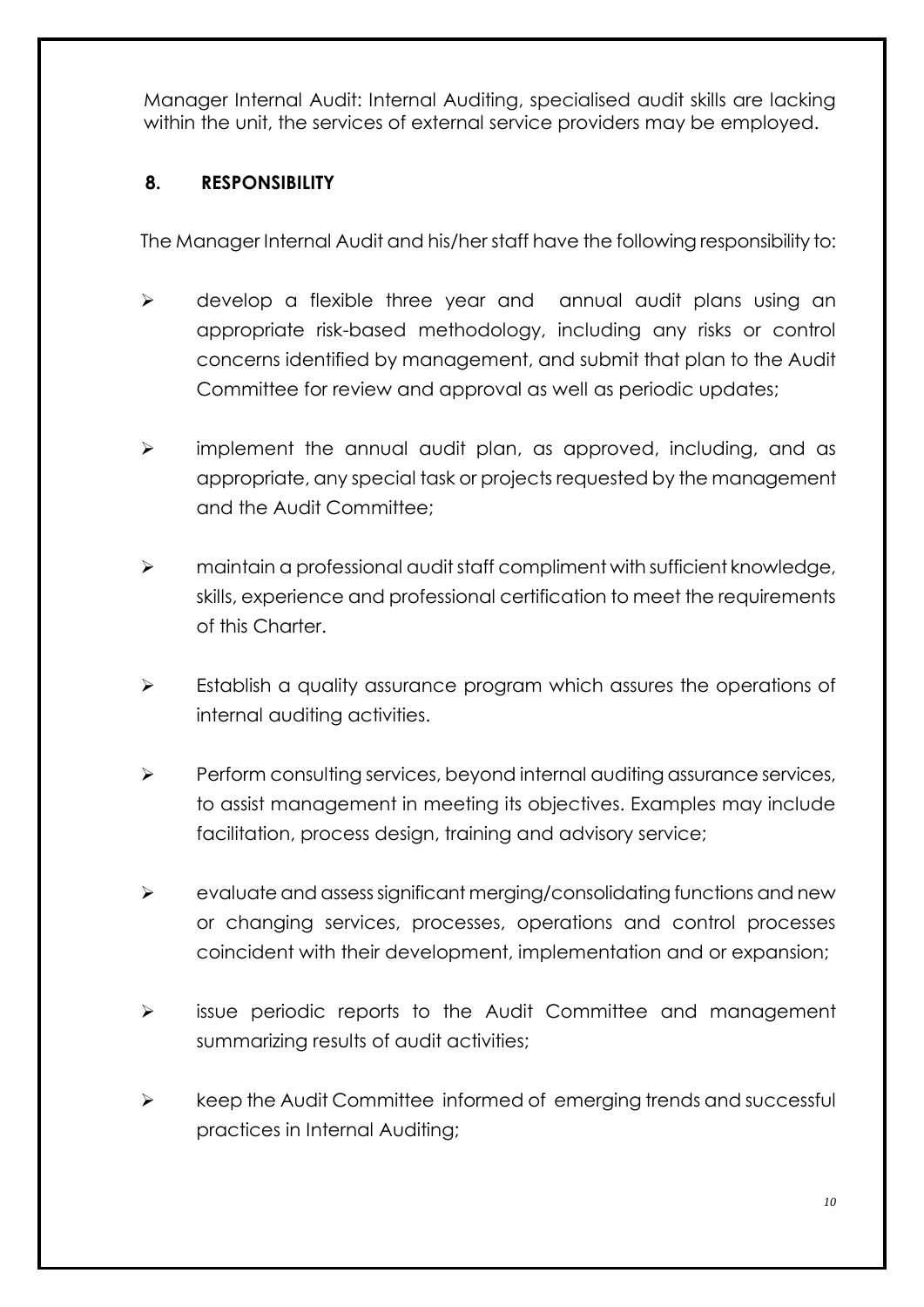Manager Internal Audit: Internal Auditing, specialised audit skills are lacking within the unit, the services of external service providers may be employed.

#### **8. RESPONSIBILITY**

The Manager Internal Audit and his/her staff have the following responsibility to:

- > develop a flexible three year and annual audit plans using an appropriate risk-based methodology, including any risks or control concerns identified by management, and submit that plan to the Audit Committee for review and approval as well as periodic updates;
- $\triangleright$  implement the annual audit plan, as approved, including, and as appropriate, any special task or projects requested by the management and the Audit Committee;
- maintain a professional audit staff compliment with sufficient knowledge, skills, experience and professional certification to meet the requirements of this Charter.
- $\triangleright$  Establish a quality assurance program which assures the operations of internal auditing activities.
- $\triangleright$  Perform consulting services, beyond internal auditing assurance services, to assist management in meeting its objectives. Examples may include facilitation, process design, training and advisory service;
- evaluate and assess significant merging/consolidating functions and new or changing services, processes, operations and control processes coincident with their development, implementation and or expansion;
- $\triangleright$  issue periodic reports to the Audit Committee and management summarizing results of audit activities;
- $\triangleright$  keep the Audit Committee informed of emerging trends and successful practices in Internal Auditing;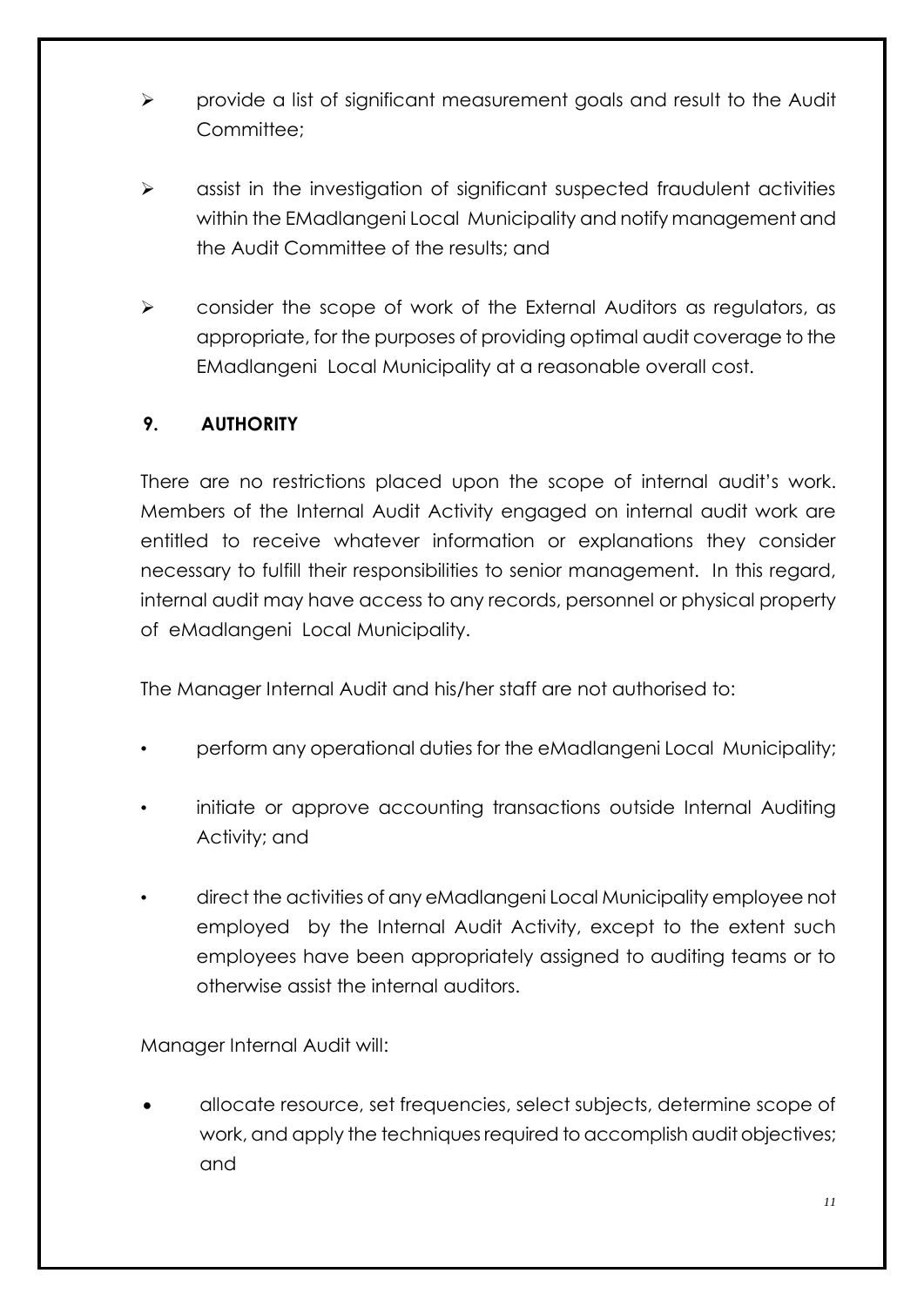- provide a list of significant measurement goals and result to the Audit Committee<sup>.</sup>
- $\triangleright$  assist in the investigation of significant suspected fraudulent activities within the EMadlangeni Local Municipality and notify management and the Audit Committee of the results; and
- $\triangleright$  consider the scope of work of the External Auditors as regulators, as appropriate, for the purposes of providing optimal audit coverage to the EMadlangeni Local Municipality at a reasonable overall cost.

### **9. AUTHORITY**

There are no restrictions placed upon the scope of internal audit's work. Members of the Internal Audit Activity engaged on internal audit work are entitled to receive whatever information or explanations they consider necessary to fulfill their responsibilities to senior management. In this regard, internal audit may have access to any records, personnel or physical property of eMadlangeni Local Municipality.

The Manager Internal Audit and his/her staff are not authorised to:

- perform any operational duties for the eMadlangeni Local Municipality;
- initiate or approve accounting transactions outside Internal Auditing Activity; and
- direct the activities of any eMadlangeni Local Municipality employee not employed by the Internal Audit Activity, except to the extent such employees have been appropriately assigned to auditing teams or to otherwise assist the internal auditors.

Manager Internal Audit will:

 allocate resource, set frequencies, select subjects, determine scope of work, and apply the techniques required to accomplish audit objectives; and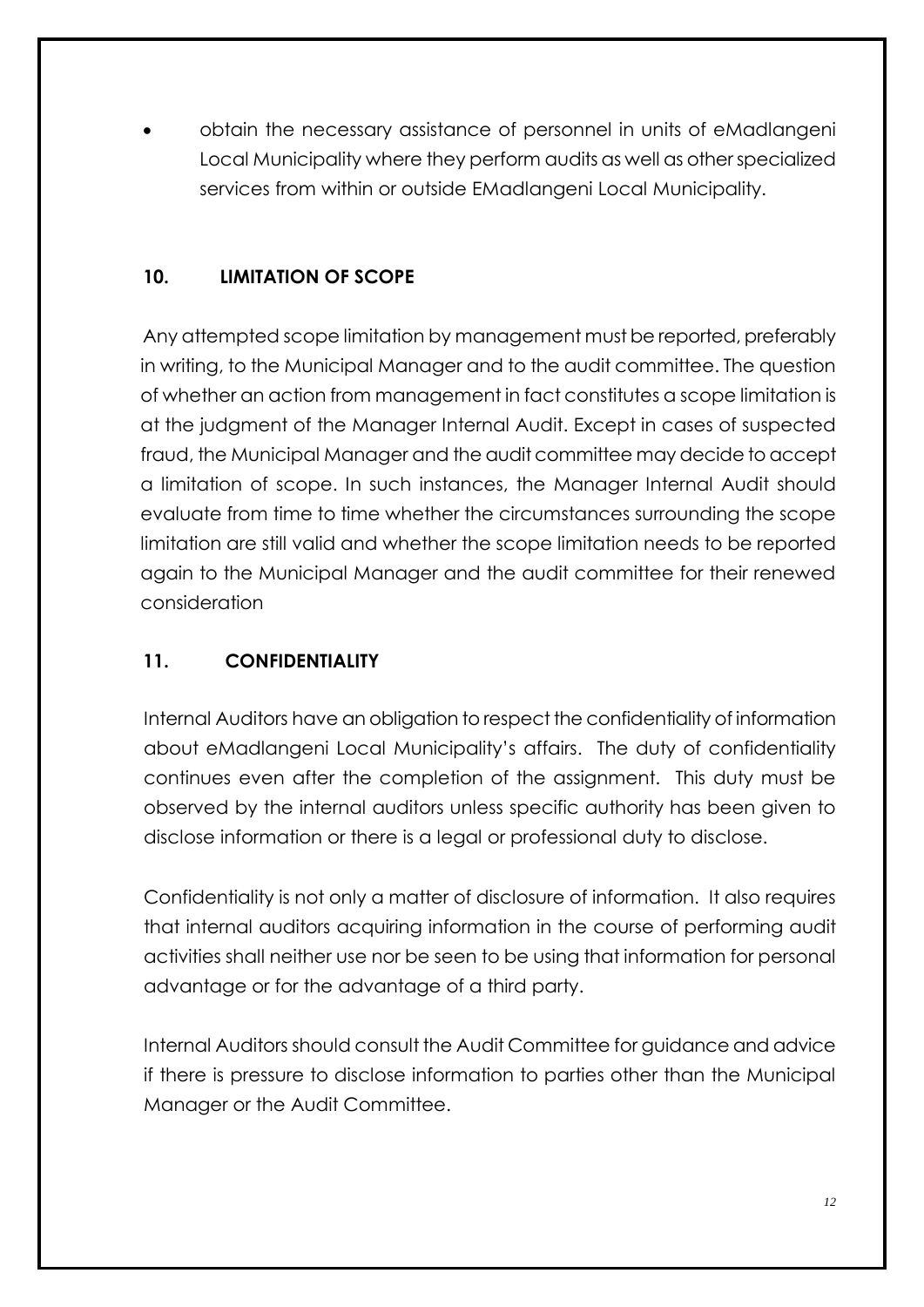obtain the necessary assistance of personnel in units of eMadlangeni Local Municipality where they perform audits as well as other specialized services from within or outside EMadlangeni Local Municipality.

## **10. LIMITATION OF SCOPE**

Any attempted scope limitation by management must be reported, preferably in writing, to the Municipal Manager and to the audit committee. The question of whether an action from management in fact constitutes a scope limitation is at the judgment of the Manager Internal Audit. Except in cases of suspected fraud, the Municipal Manager and the audit committee may decide to accept a limitation of scope. In such instances, the Manager Internal Audit should evaluate from time to time whether the circumstances surrounding the scope limitation are still valid and whether the scope limitation needs to be reported again to the Municipal Manager and the audit committee for their renewed consideration

# **11. CONFIDENTIALITY**

Internal Auditors have an obligation to respect the confidentiality of information about eMadlangeni Local Municipality's affairs. The duty of confidentiality continues even after the completion of the assignment. This duty must be observed by the internal auditors unless specific authority has been given to disclose information or there is a legal or professional duty to disclose.

Confidentiality is not only a matter of disclosure of information. It also requires that internal auditors acquiring information in the course of performing audit activities shall neither use nor be seen to be using that information for personal advantage or for the advantage of a third party.

Internal Auditors should consult the Audit Committee for guidance and advice if there is pressure to disclose information to parties other than the Municipal Manager or the Audit Committee.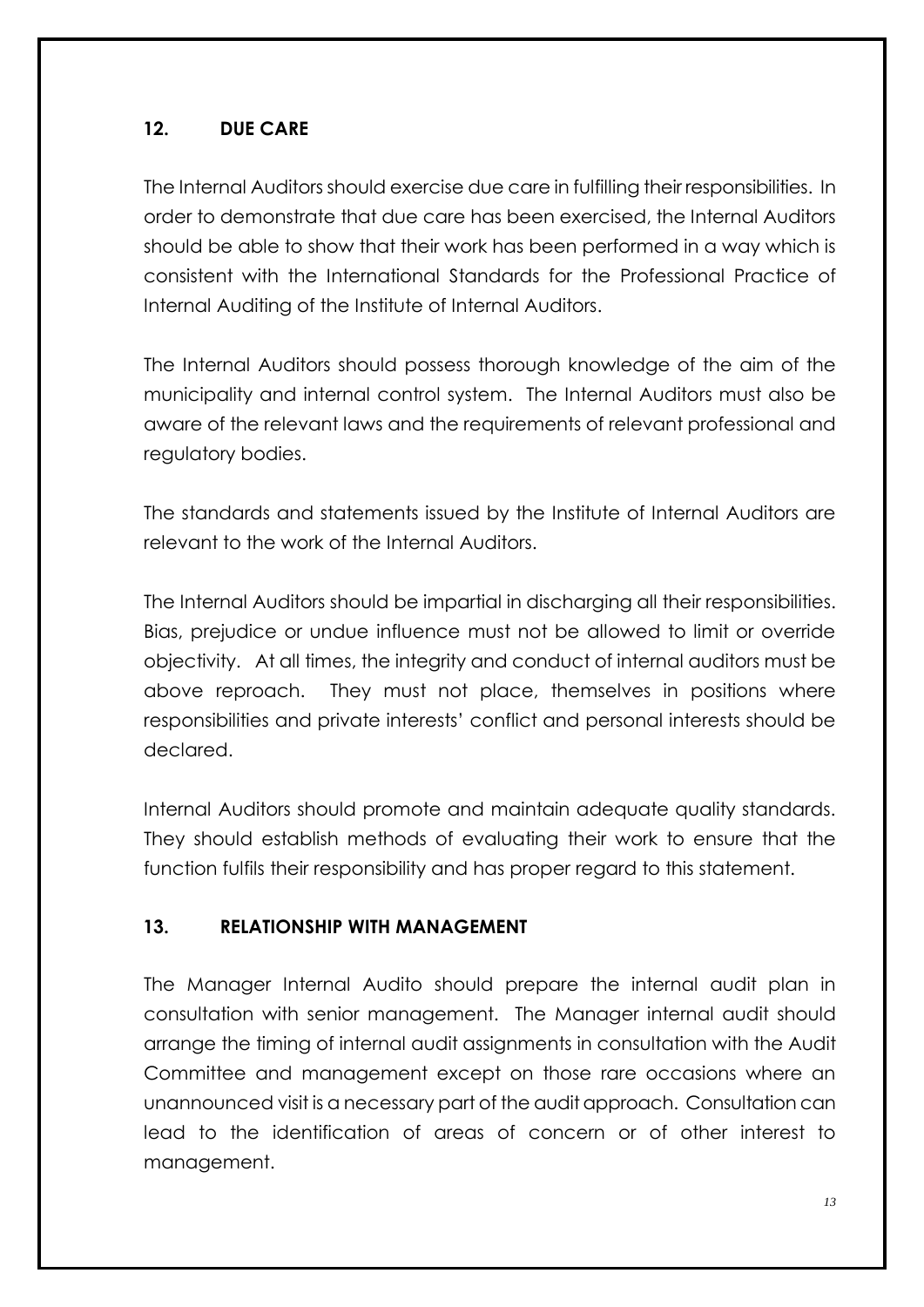#### **12. DUE CARE**

The Internal Auditors should exercise due care in fulfilling their responsibilities. In order to demonstrate that due care has been exercised, the Internal Auditors should be able to show that their work has been performed in a way which is consistent with the International Standards for the Professional Practice of Internal Auditing of the Institute of Internal Auditors.

The Internal Auditors should possess thorough knowledge of the aim of the municipality and internal control system. The Internal Auditors must also be aware of the relevant laws and the requirements of relevant professional and regulatory bodies.

The standards and statements issued by the Institute of Internal Auditors are relevant to the work of the Internal Auditors.

The Internal Auditors should be impartial in discharging all their responsibilities. Bias, prejudice or undue influence must not be allowed to limit or override objectivity. At all times, the integrity and conduct of internal auditors must be above reproach. They must not place, themselves in positions where responsibilities and private interests' conflict and personal interests should be declared.

Internal Auditors should promote and maintain adequate quality standards. They should establish methods of evaluating their work to ensure that the function fulfils their responsibility and has proper regard to this statement.

#### **13. RELATIONSHIP WITH MANAGEMENT**

The Manager Internal Audito should prepare the internal audit plan in consultation with senior management. The Manager internal audit should arrange the timing of internal audit assignments in consultation with the Audit Committee and management except on those rare occasions where an unannounced visit is a necessary part of the audit approach. Consultation can lead to the identification of areas of concern or of other interest to management.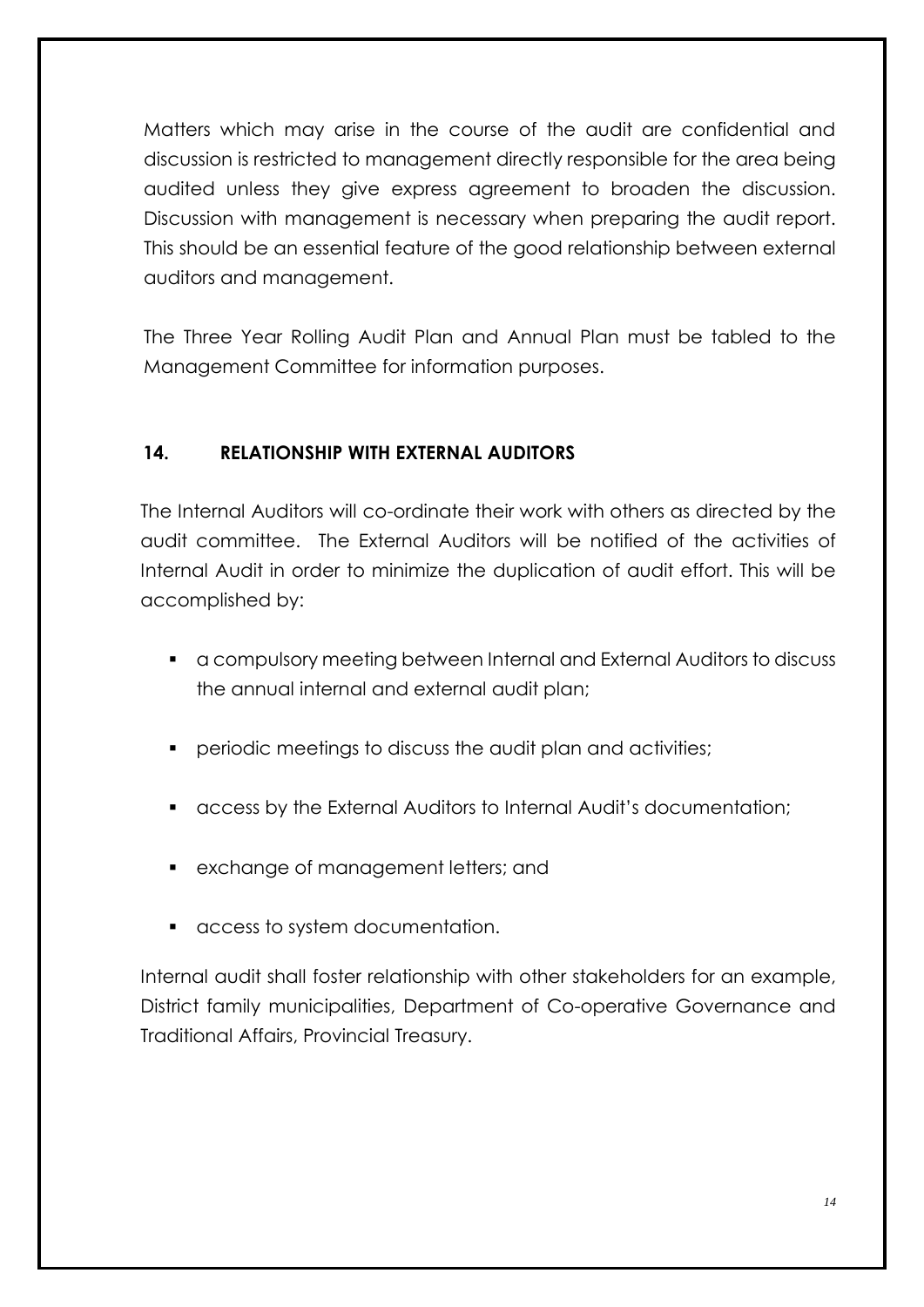Matters which may arise in the course of the audit are confidential and discussion is restricted to management directly responsible for the area being audited unless they give express agreement to broaden the discussion. Discussion with management is necessary when preparing the audit report. This should be an essential feature of the good relationship between external auditors and management.

The Three Year Rolling Audit Plan and Annual Plan must be tabled to the Management Committee for information purposes.

#### **14. RELATIONSHIP WITH EXTERNAL AUDITORS**

The Internal Auditors will co-ordinate their work with others as directed by the audit committee. The External Auditors will be notified of the activities of Internal Audit in order to minimize the duplication of audit effort. This will be accomplished by:

- a compulsory meeting between Internal and External Auditors to discuss the annual internal and external audit plan;
- periodic meetings to discuss the audit plan and activities;
- access by the External Auditors to Internal Audit's documentation;
- **EXAMAGE OF MANAGEMENT LETTER** and
- access to system documentation.

Internal audit shall foster relationship with other stakeholders for an example, District family municipalities, Department of Co-operative Governance and Traditional Affairs, Provincial Treasury.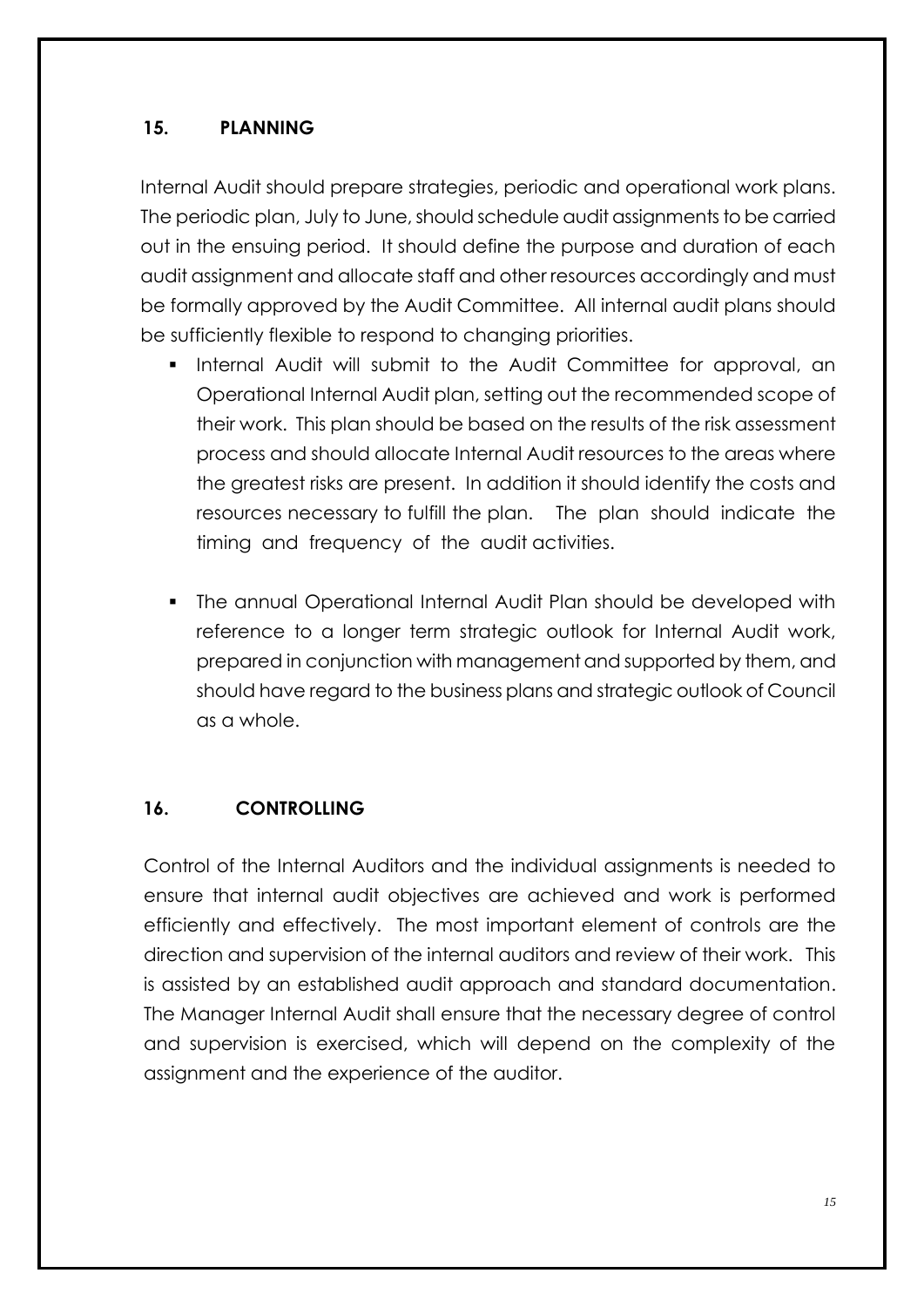#### **15. PLANNING**

Internal Audit should prepare strategies, periodic and operational work plans. The periodic plan, July to June, should schedule audit assignments to be carried out in the ensuing period. It should define the purpose and duration of each audit assignment and allocate staff and other resources accordingly and must be formally approved by the Audit Committee. All internal audit plans should be sufficiently flexible to respond to changing priorities.

- Internal Audit will submit to the Audit Committee for approval, an Operational Internal Audit plan, setting out the recommended scope of their work. This plan should be based on the results of the risk assessment process and should allocate Internal Audit resources to the areas where the greatest risks are present. In addition it should identify the costs and resources necessary to fulfill the plan. The plan should indicate the timing and frequency of the audit activities.
- The annual Operational Internal Audit Plan should be developed with reference to a longer term strategic outlook for Internal Audit work, prepared in conjunction with management and supported by them, and should have regard to the business plans and strategic outlook of Council as a whole.

### **16. CONTROLLING**

Control of the Internal Auditors and the individual assignments is needed to ensure that internal audit objectives are achieved and work is performed efficiently and effectively. The most important element of controls are the direction and supervision of the internal auditors and review of their work. This is assisted by an established audit approach and standard documentation. The Manager Internal Audit shall ensure that the necessary degree of control and supervision is exercised, which will depend on the complexity of the assignment and the experience of the auditor.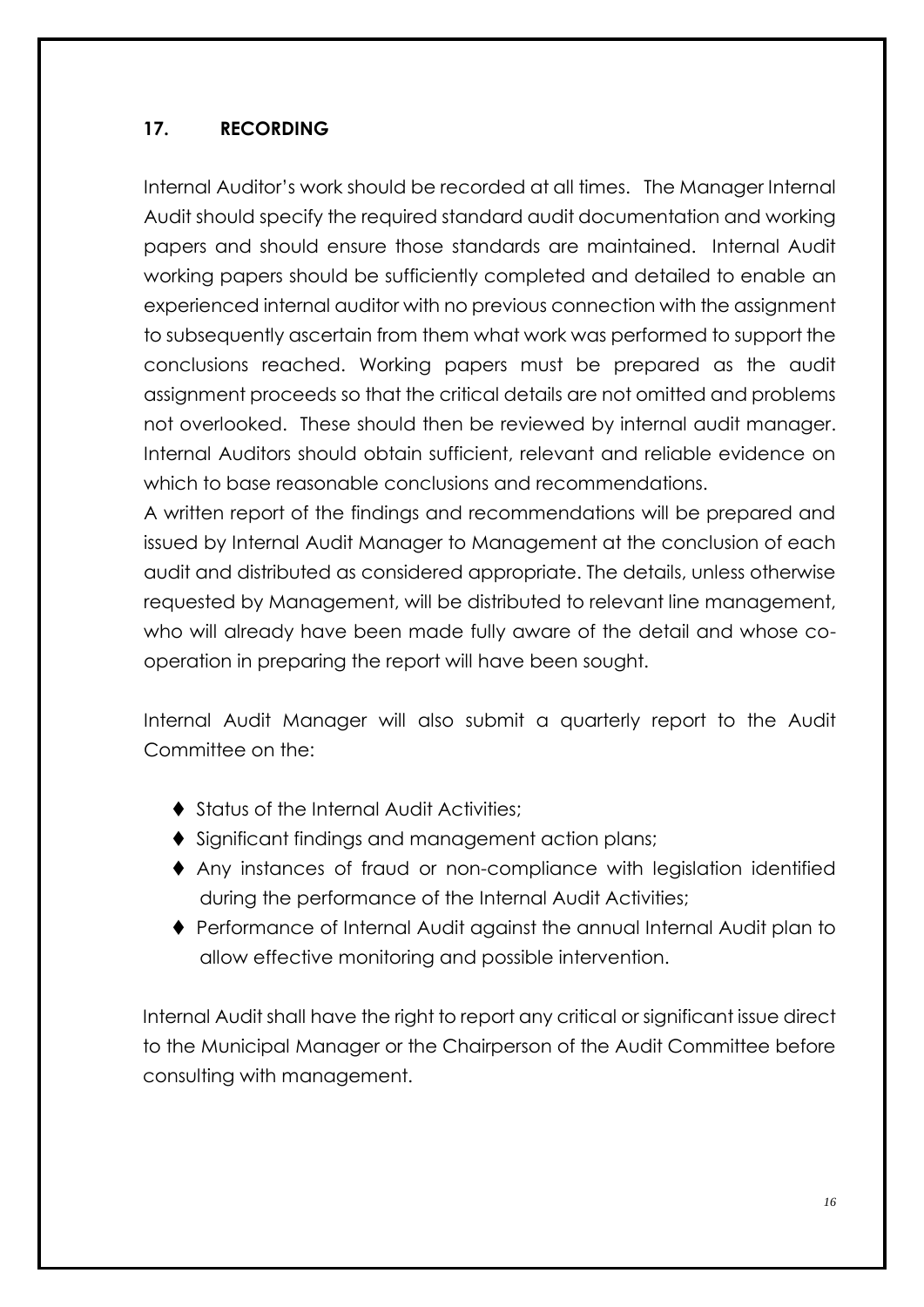#### **17. RECORDING**

Internal Auditor's work should be recorded at all times. The Manager Internal Audit should specify the required standard audit documentation and working papers and should ensure those standards are maintained. Internal Audit working papers should be sufficiently completed and detailed to enable an experienced internal auditor with no previous connection with the assignment to subsequently ascertain from them what work was performed to support the conclusions reached. Working papers must be prepared as the audit assignment proceeds so that the critical details are not omitted and problems not overlooked. These should then be reviewed by internal audit manager. Internal Auditors should obtain sufficient, relevant and reliable evidence on which to base reasonable conclusions and recommendations.

A written report of the findings and recommendations will be prepared and issued by Internal Audit Manager to Management at the conclusion of each audit and distributed as considered appropriate. The details, unless otherwise requested by Management, will be distributed to relevant line management, who will already have been made fully aware of the detail and whose cooperation in preparing the report will have been sought.

Internal Audit Manager will also submit a quarterly report to the Audit Committee on the:

- ◆ Status of the Internal Audit Activities:
- ◆ Significant findings and management action plans;
- Any instances of fraud or non-compliance with legislation identified during the performance of the Internal Audit Activities;
- Performance of Internal Audit against the annual Internal Audit plan to allow effective monitoring and possible intervention.

Internal Audit shall have the right to report any critical or significant issue direct to the Municipal Manager or the Chairperson of the Audit Committee before consulting with management.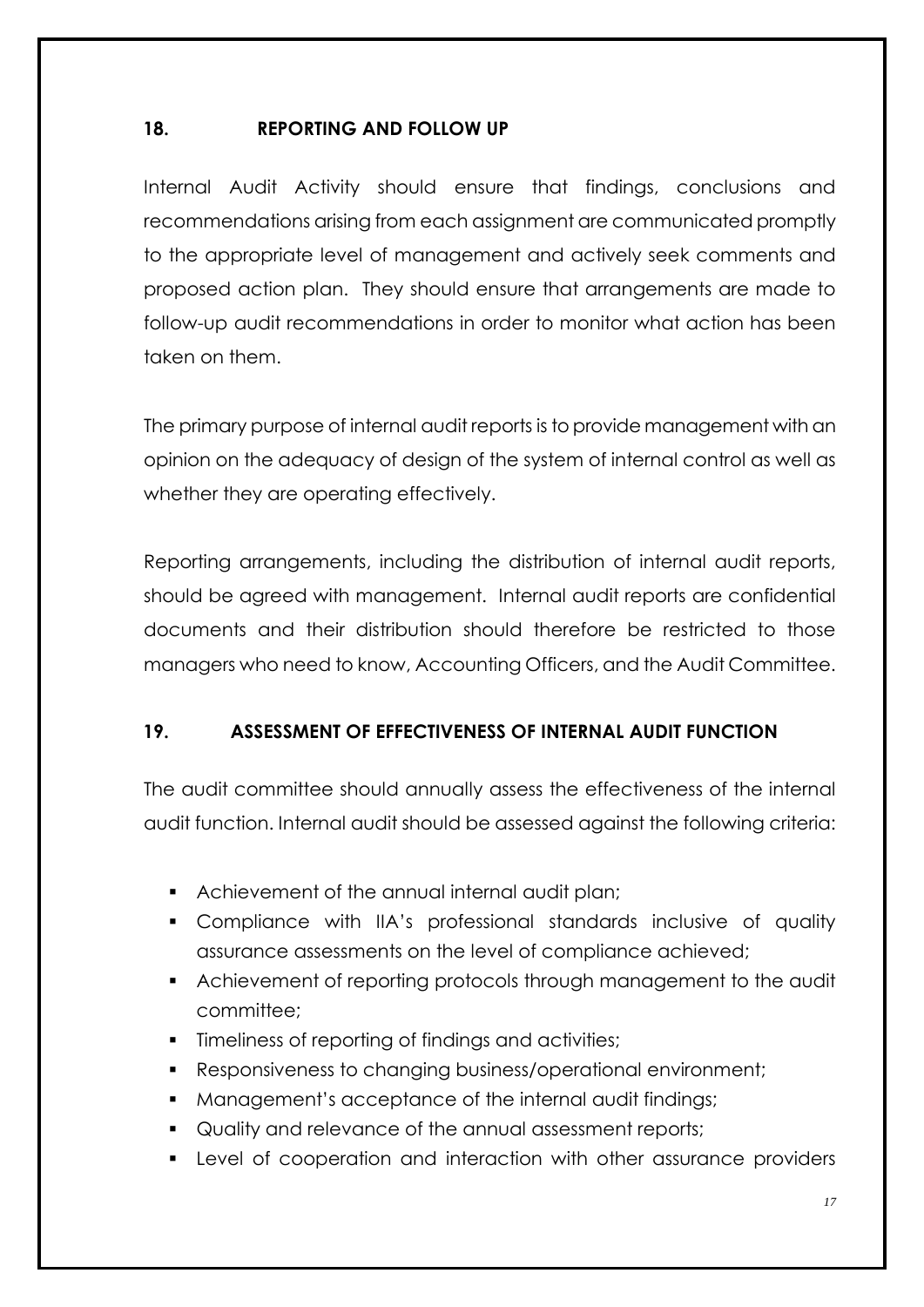#### **18. REPORTING AND FOLLOW UP**

Internal Audit Activity should ensure that findings, conclusions and recommendations arising from each assignment are communicated promptly to the appropriate level of management and actively seek comments and proposed action plan. They should ensure that arrangements are made to follow-up audit recommendations in order to monitor what action has been taken on them.

The primary purpose of internal audit reports is to provide management with an opinion on the adequacy of design of the system of internal control as well as whether they are operating effectively.

Reporting arrangements, including the distribution of internal audit reports, should be agreed with management. Internal audit reports are confidential documents and their distribution should therefore be restricted to those managers who need to know, Accounting Officers, and the Audit Committee.

### **19. ASSESSMENT OF EFFECTIVENESS OF INTERNAL AUDIT FUNCTION**

The audit committee should annually assess the effectiveness of the internal audit function. Internal audit should be assessed against the following criteria:

- Achievement of the annual internal audit plan;
- Compliance with IIA's professional standards inclusive of quality assurance assessments on the level of compliance achieved;
- Achievement of reporting protocols through management to the audit committee;
- **Timeliness of reporting of findings and activities;**
- Responsiveness to changing business/operational environment;
- **Management's acceptance of the internal audit findings;**
- Quality and relevance of the annual assessment reports;
- Level of cooperation and interaction with other assurance providers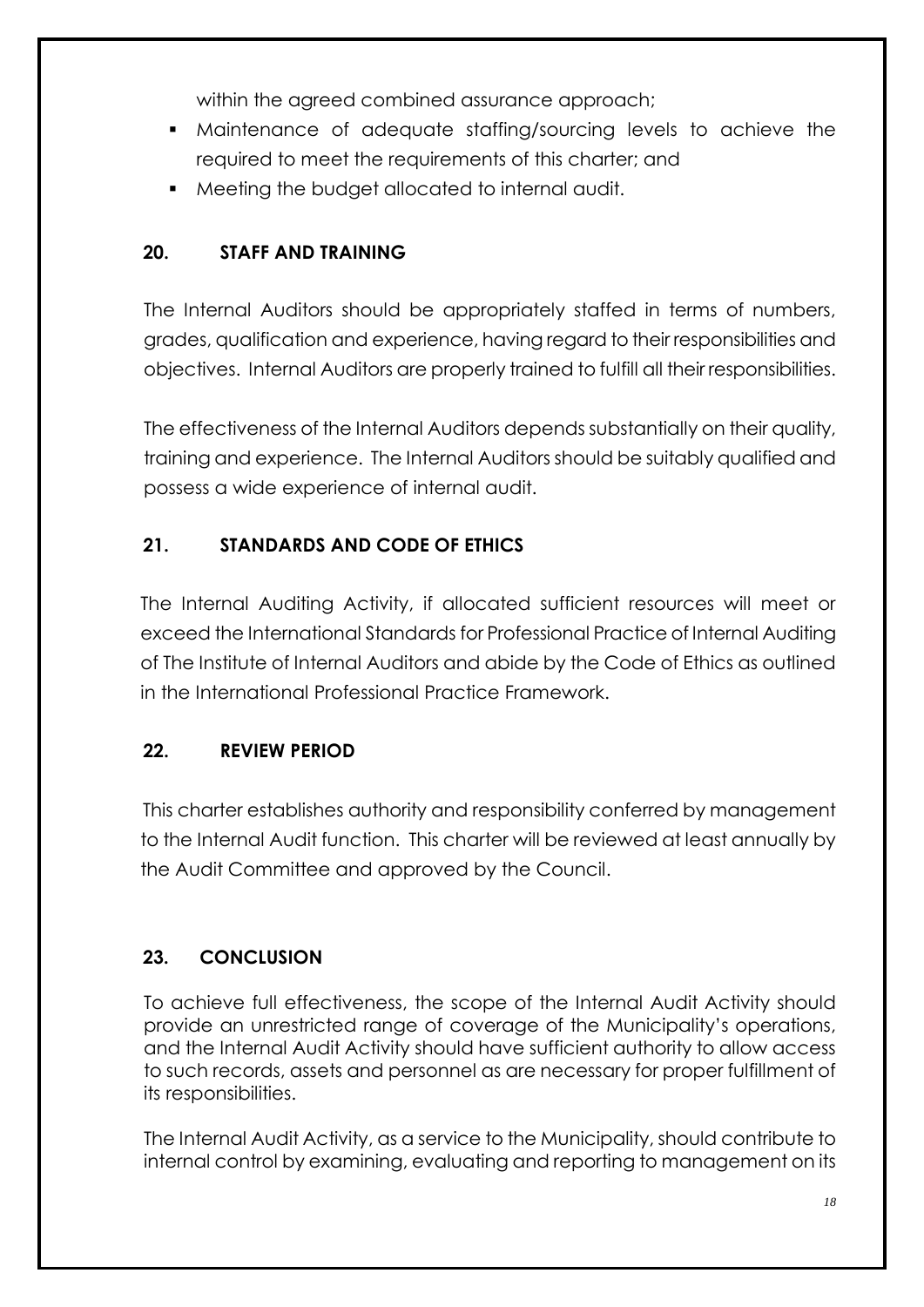within the agreed combined assurance approach;

- Maintenance of adequate staffing/sourcing levels to achieve the required to meet the requirements of this charter; and
- Meeting the budget allocated to internal audit.

# **20. STAFF AND TRAINING**

The Internal Auditors should be appropriately staffed in terms of numbers, grades, qualification and experience, having regard to their responsibilities and objectives. Internal Auditors are properly trained to fulfill all their responsibilities.

The effectiveness of the Internal Auditors depends substantially on their quality, training and experience. The Internal Auditors should be suitably qualified and possess a wide experience of internal audit.

# **21. STANDARDS AND CODE OF ETHICS**

The Internal Auditing Activity, if allocated sufficient resources will meet or exceed the International Standards for Professional Practice of Internal Auditing of The Institute of Internal Auditors and abide by the Code of Ethics as outlined in the International Professional Practice Framework.

# **22. REVIEW PERIOD**

This charter establishes authority and responsibility conferred by management to the Internal Audit function. This charter will be reviewed at least annually by the Audit Committee and approved by the Council.

### **23. CONCLUSION**

To achieve full effectiveness, the scope of the Internal Audit Activity should provide an unrestricted range of coverage of the Municipality's operations, and the Internal Audit Activity should have sufficient authority to allow access to such records, assets and personnel as are necessary for proper fulfillment of its responsibilities.

The Internal Audit Activity, as a service to the Municipality, should contribute to internal control by examining, evaluating and reporting to management on its